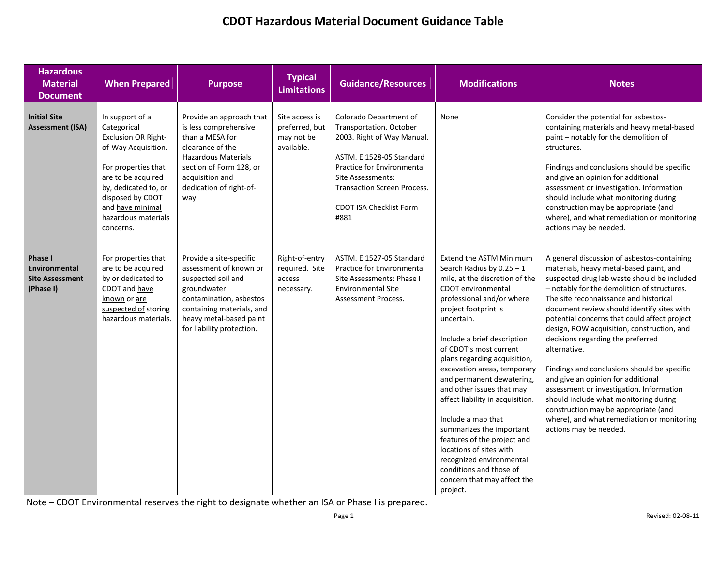| <b>Hazardous</b><br><b>Material</b><br><b>Document</b>                        | <b>When Prepared</b>                                                                                                                                                                                                          | <b>Purpose</b>                                                                                                                                                                                          | <b>Typical</b><br><b>Limitations</b>                         | <b>Guidance/Resources</b>                                                                                                                                                                                                                             | <b>Modifications</b>                                                                                                                                                                                                                                                                                                                                                                                                                                                                                                                                                                                                  | <b>Notes</b>                                                                                                                                                                                                                                                                                                                                                                                                                                                                                                                                                                                                                                                                                                              |
|-------------------------------------------------------------------------------|-------------------------------------------------------------------------------------------------------------------------------------------------------------------------------------------------------------------------------|---------------------------------------------------------------------------------------------------------------------------------------------------------------------------------------------------------|--------------------------------------------------------------|-------------------------------------------------------------------------------------------------------------------------------------------------------------------------------------------------------------------------------------------------------|-----------------------------------------------------------------------------------------------------------------------------------------------------------------------------------------------------------------------------------------------------------------------------------------------------------------------------------------------------------------------------------------------------------------------------------------------------------------------------------------------------------------------------------------------------------------------------------------------------------------------|---------------------------------------------------------------------------------------------------------------------------------------------------------------------------------------------------------------------------------------------------------------------------------------------------------------------------------------------------------------------------------------------------------------------------------------------------------------------------------------------------------------------------------------------------------------------------------------------------------------------------------------------------------------------------------------------------------------------------|
| <b>Initial Site</b><br><b>Assessment (ISA)</b>                                | In support of a<br>Categorical<br>Exclusion OR Right-<br>of-Way Acquisition.<br>For properties that<br>are to be acquired<br>by, dedicated to, or<br>disposed by CDOT<br>and have minimal<br>hazardous materials<br>concerns. | Provide an approach that<br>is less comprehensive<br>than a MESA for<br>clearance of the<br><b>Hazardous Materials</b><br>section of Form 128, or<br>acquisition and<br>dedication of right-of-<br>way. | Site access is<br>preferred, but<br>may not be<br>available. | Colorado Department of<br>Transportation. October<br>2003. Right of Way Manual.<br>ASTM. E 1528-05 Standard<br>Practice for Environmental<br><b>Site Assessments:</b><br><b>Transaction Screen Process.</b><br><b>CDOT ISA Checklist Form</b><br>#881 | None                                                                                                                                                                                                                                                                                                                                                                                                                                                                                                                                                                                                                  | Consider the potential for asbestos-<br>containing materials and heavy metal-based<br>paint - notably for the demolition of<br>structures.<br>Findings and conclusions should be specific<br>and give an opinion for additional<br>assessment or investigation. Information<br>should include what monitoring during<br>construction may be appropriate (and<br>where), and what remediation or monitoring<br>actions may be needed.                                                                                                                                                                                                                                                                                      |
| <b>Phase I</b><br><b>Environmental</b><br><b>Site Assessment</b><br>(Phase I) | For properties that<br>are to be acquired<br>by or dedicated to<br>CDOT and have<br>known or are<br>suspected of storing<br>hazardous materials.                                                                              | Provide a site-specific<br>assessment of known or<br>suspected soil and<br>groundwater<br>contamination, asbestos<br>containing materials, and<br>heavy metal-based paint<br>for liability protection.  | Right-of-entry<br>required. Site<br>access<br>necessary.     | ASTM. E 1527-05 Standard<br>Practice for Environmental<br>Site Assessments: Phase I<br><b>Environmental Site</b><br>Assessment Process.                                                                                                               | Extend the ASTM Minimum<br>Search Radius by $0.25 - 1$<br>mile, at the discretion of the<br>CDOT environmental<br>professional and/or where<br>project footprint is<br>uncertain.<br>Include a brief description<br>of CDOT's most current<br>plans regarding acquisition,<br>excavation areas, temporary<br>and permanent dewatering,<br>and other issues that may<br>affect liability in acquisition.<br>Include a map that<br>summarizes the important<br>features of the project and<br>locations of sites with<br>recognized environmental<br>conditions and those of<br>concern that may affect the<br>project. | A general discussion of asbestos-containing<br>materials, heavy metal-based paint, and<br>suspected drug lab waste should be included<br>- notably for the demolition of structures.<br>The site reconnaissance and historical<br>document review should identify sites with<br>potential concerns that could affect project<br>design, ROW acquisition, construction, and<br>decisions regarding the preferred<br>alternative.<br>Findings and conclusions should be specific<br>and give an opinion for additional<br>assessment or investigation. Information<br>should include what monitoring during<br>construction may be appropriate (and<br>where), and what remediation or monitoring<br>actions may be needed. |

Note – CDOT Environmental reserves the right to designate whether an ISA or Phase I is prepared.